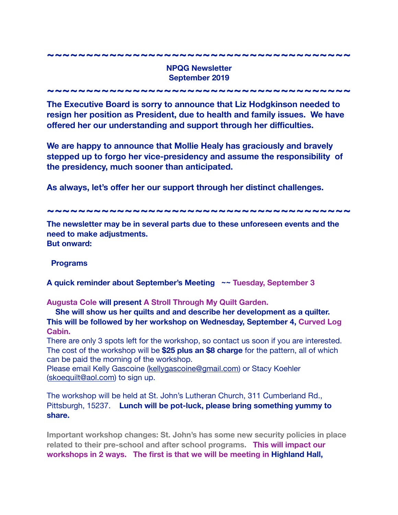## **NPQG Newsletter September 2019**

**~~~~~~~~~~~~~~~~~~~~~~~~~~~~~~~~~~~~~~~** 

**~~~~~~~~~~~~~~~~~~~~~~~~~~~~~~~~~~~~~~~** 

**The Executive Board is sorry to announce that Liz Hodgkinson needed to resign her position as President, due to health and family issues. We have offered her our understanding and support through her difficulties.** 

**We are happy to announce that Mollie Healy has graciously and bravely stepped up to forgo her vice-presidency and assume the responsibility of the presidency, much sooner than anticipated.** 

As always, let's offer her our support through her distinct challenges.

**~~~~~~~~~~~~~~~~~~~~~~~~~~~~~~~~~~~~~~~** 

**The newsletter may be in several parts due to these unforeseen events and the need to make adjustments. But onward:** 

## **Programs**

**A quick reminder about September's Meeting ~~ Tuesday, September 3** 

**Augusta Cole will present A Stroll Through My Quilt Garden.** 

 **She will show us her quilts and and describe her development as a quilter. This will be followed by her workshop on Wednesday, September 4, Curved Log Cabin.** 

There are only 3 spots left for the workshop, so contact us soon if you are interested. The cost of the workshop will be **\$25 plus an \$8 charge** for the pattern, all of which can be paid the morning of the workshop.

Please email Kelly Gascoine [\(kellygascoine@gmail.com\)](mailto:kellygascoine@gmail.com) or Stacy Koehler [\(skoequilt@aol.com](mailto:skoequilt@aol.com)) to sign up.

The workshop will be held at St. John's Lutheran Church, 311 Cumberland Rd., Pittsburgh, 15237. **Lunch will be pot-luck, please bring something yummy to share.** 

**Important workshop changes: St. John's has some new security policies in place related to their pre-school and after school programs. This will impact our workshops in 2 ways. The first is that we will be meeting in Highland Hall,**